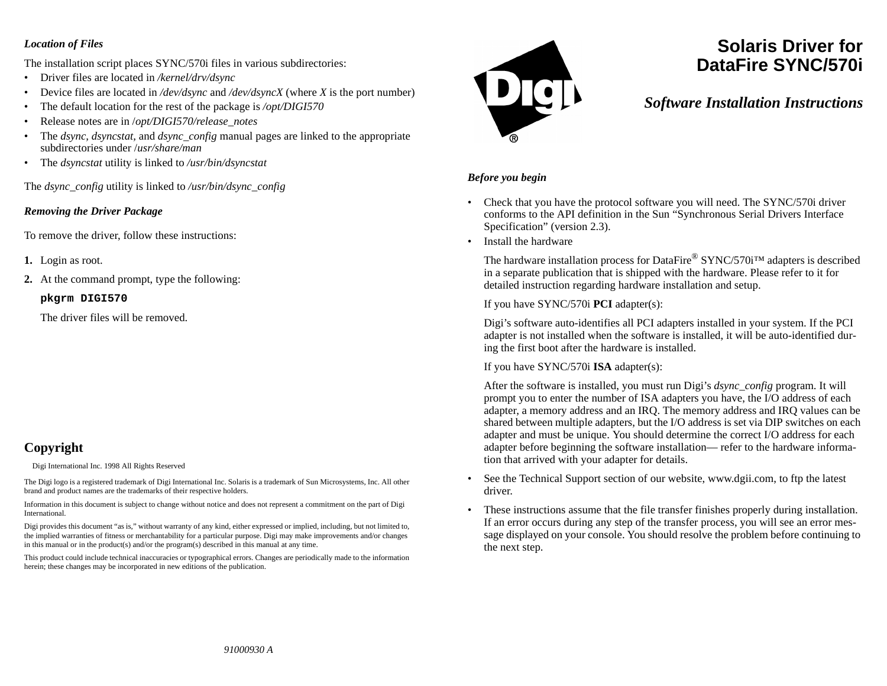#### *Location of Files*

The installation script places SYNC/570i files in various subdirectories:

- Driver files are located in */kernel/drv/dsync*
- •Device files are located in */dev/dsync* and */dev/dsyncX* (where *X* is the port number)
- •The default location for the rest of the package is */opt/DIGI570*
- •Release notes are in /*opt/DIGI570/release\_notes*
- • The *dsync, dsyncstat,* and *dsync\_config* manual pages are linked to the appropriate subdirectories under /*usr/share/man*
- The *dsyncstat* utility is linked to */usr/bin/dsyncstat*

The *dsync\_config* utility is linked to */usr/bin/dsync\_config*

#### *Removing the Driver Package*

To remove the driver, follow these instructions:

- **1.** Login as root.
- **2.** At the command prompt, type the following:

#### **pkgrm DIGI570**

The driver files will be removed.

# **Copyright**

Digi International Inc. 1998 All Rights Reserved

The Digi logo is a registered trademark of Digi International Inc. Solaris is a trademark of Sun Microsystems, Inc. All other brand and product names are the trademarks of their respective holders.

Information in this document is subject to change without notice and does not represent a commitment on the part of Digi International.

Digi provides this document "as is," without warranty of any kind, either expressed or implied, including, but not limited to, the implied warranties of fitness or merchantability for a particular purpose. Digi may make improvements and/or changes in this manual or in the product(s) and/or the program(s) described in this manual at any time.

This product could include technical inaccuracies or typographical errors. Changes are periodically made to the information herein; these changes may be incorporated in new editions of the publication.



# **Solaris Driver forDataFire SYNC/570i**

## *Software Installation Instructions*

#### *Before you begin*

- Check that you have the protocol software you will need. The SYNC/570i driver conforms to the API definition in the Sun "Synchronous Serial Drivers Interface Specification" (version 2.3).
- Install the hardware

The hardware installation process for DataFire® SYNC/570i™ adapters is described in a separate publication that is shipped with the hardware. Please refer to it for detailed instruction regarding hardware installation and setup.

If you have SYNC/570i **PCI** adapter(s):

Digi's software auto-identifies all PCI adapters installed in your system. If the PCI adapter is not installed when the software is installed, it will be auto-identified during the first boot after the hardware is installed.

If you have SYNC/570i **ISA** adapter(s):

After the software is installed, you must run Digi's *dsync\_config* program. It will prompt you to enter the number of ISA adapters you have, the I/O address of each adapter, a memory address and an IRQ. The memory address and IRQ values can be shared between multiple adapters, but the I/O address is set via DIP switches on each adapter and must be unique. You should determine the correct I/O address for each adapter before beginning the software installation— refer to the hardware information that arrived with your adapter for details.

- • See the Technical Support section of our website, www.dgii.com, to ftp the latest driver.
- • These instructions assume that the file transfer finishes properly during installation. If an error occurs during any step of the transfer process, you will see an error message displayed on your console. You should resolve the problem before continuing to the next step.